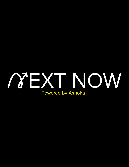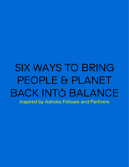# SIX WAYS TO BRING PEOPLE & PLANET BACK INTÓ BALANCE Inspired by Ashoka Fellows and Partners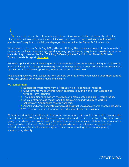In a world where the rate of change is increasing exponentially and where the shelf life of solutions is diminishing rapidly, we, at Ashoka, are aware that we must investigate a whole spectrum of insights across fields and geographies to tackle the Planet & Climate crisis.

With these in mind, on Earth Day 2021, after scrutinizing the models and work of our hundreds of fellows, we published a knowledge report summing up the trends, insights and broader patterns we were starting to see for the field: Thinking Differently: Ideas for Action on Planet & Climate. To read the whole report [click here](https://www.next-now.org/wp-content/uploads/2021/04/Ashoka-Planet-and-Climate-2021-report-compressed-1.pdf-1.pdf).

Between April and June 2021 we organized a series of ten closed-door global dialogues on the most important insights in the report. We were joined in these precious moments of Socratic conversation by over 50 Ashoka fellows, partners, friends and experts in the field.

This briefing sums up what we learnt from our core constituencies when calling upon them to test, refine and update our emerging ideas and insights.

#### We learned that:

- $\rightarrow$  Businesses must move from a "Reduce" to a "Regenerate" mindset.
- $\rightarrow$  Governments Must Enforce Green Taxation Regulation and Push Companies for long-Term Planning.
- $\rightarrow$  The global financial system must move to more sustainable risk return ratios.
- $\rightarrow$  Social entrepreneurs must transition from shining individually to working collectively. And funders must reward this.
- $\rightarrow$  Ashoka and other ecosystem organisations must use global, interconnected datasets.
- $\rightarrow$  We must use culture, language and education to shift behaviours.

Without any doubt, the challenge in front of us is enormous. This is not a moment to give up. This is a call to action. We're looking for people who understand that if we are to win this fight, we're going to need everyone. We're looking for people who see nature as a collaboration partner, not a resource to be optimized. We're looking for people who see that climate change isn't just an environmental issue – it's a whole system issue, encompassing the economy, power, social norms, identity.

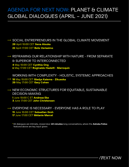# AGENDA FOR NEXT NOW: PLANET & CLIMATE GLOBAL DIALOGUES (APRIL – JUNE 2021)

- $\rightarrow$  SOCIAL ENTREPRENEURS IN THE GLOBAL CLIMATE MOVEMENT **20** April 10:00 CET **Sena Alouka 22** April 17:00 CET **Beto Verissimo**
- $\rightarrow$  REFRAMING OUR RELATIONSHIP WITH NATURE FROM SEPARATE & SUPERIOR TO INTERCONNECTED **4** May 10:00 CET **Cynthia Ong 6** May 17:00 CET **Reginaldo Haslett - Marroquín**

WORKING WITH COMPLEXITY - HOLISTIC, SYSTEMIC APPROACHES

- **18** May 10:00 CET **Gladys Kalema Zikusoka 20** May 17:00 CET **Gary Cohen**
- $\rightarrow$  NEW ECONOMIC STRUCTURES FOR EQUITABLE, SUSTAINABLE DECISION-MAKING

**1** June 10:00 C ET **Andreas Eke 3** June 17:00 CET **John Christensen**

→ EVERYONE IS NECESSARY - EVERYONE HAS A ROLE TO PLAY **15** June 10:00 CET **Sebastian Groh 17** June 17:00 CET **Mélanie Marcel**

\*All dialogues are intimate, closed door **60 minutes** long conversations, where the **Ashoka Fellos** featured above are key input givers

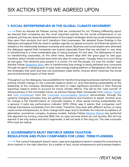### **1. SOCIAL ENTREPRENEURS IN THE GLOBAL CLIMATE MOVEMENT**

 $\rightarrow$  From an Ashoka All Fellows' survey that we conducted for our Thinking Differently report we learned that companies are the most important partner for the social entrepreneurs in our network, yet they are rarely the beneficiaries of the impact strategies driven by social entrepreneurs: they open their pockets, but don't transform their businesses. We debated these findings in the dialogues and agreed that we need to update urgently our global economic and financial system to rebalance the relationship between humanity and nature. Business and social leaders who attended the dialogues agreed that companies are scared, especially those that are reluctant or very slow in transitioning to a more sustainable way of doing business. It's not new. The willingness to work on transforming corporates, on the other hand, doesn't align with the good guys vs. bad guys narrative, which climate activists have held very dear for many years. "Usually, there is no such thing as bad guys. This attribute puts people in a corner. It's not the people, it's only the model." says Ashoka Fellow [Sebastian Groh,](https://www.ashoka.org/en-us/fellow/sebastian-groh) who is transforming how energy is being delivered and consumed through his game-changing peer-to-peer solar energy trading platform in Bangladesh. But what are the strategies that work and how can businesses make better choices which maximise the social and environmental impact of their work?

Throughout our ten dialogues, two possibilities for transforming large businesses started to emerge: putting climate change on the corporate balance sheet or/ and internalising sustainability at the leadership of the company. Businesses will have to make significant provisions in their financial reporting/ balance sheet to account for future climate effects. This will be the "new normal" of doing business in the immediate future, as Ashoka Fellows Mark Campanale from [Carbon Tracker](https://www.forbes.com/sites/ashoka/2021/03/26/were-living-through-a-carbon-bubble--heres-what-we-can-do-about-it/) and [John Christensen](https://www.ashoka.org/en/fellow/john-christensen) from the [Corporate Accountability Network](http://www.corporateaccountabilitynet.work/) demonstrate, through the systems-changing principles they are getting corporations and investors to adopt. Another lever for change is the transformation of corporate leaders, in other words turning sustainability into a genuine C-suite key performance indicator (KPI). Either way it seems that companies can't change themselves completely from the inside. Therefore, they work with different actors, in many cases social entrepreneurs, to drive change both ways and to facilitate the internal acceptance of alternative, sometimes complex, business models. Ashoka Fellow [Melanie Marcel](https://www.forbes.com/sites/ashoka/2020/07/10/the-future-of-climate-research-value-all-forms-of-knowledge/?sh=415c6ced4d96) has perfected this approach by turning corporate R&D into an open process driven by civil society. But let's be warned: if we only reduce and don't regenerate, it will not work in the long run. The new corporate KPIs must be radical.

#### **2. GOVERNMENTS MUST ENFORCE GREEN TAXATION REGULATION AND PUSH COMPANIES FOR LONG-TERM PLANNING**

 $\rightarrow$  The current framework doesn't work. Laws and requlations haven't created the incentives to drive markets in the right direction. As a matter of fact, social entrepreneurs and business leaders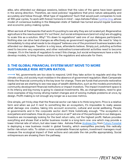alike, who attended our dialogue sessions, believe that the rules of the game have been geared in the wrong direction. Therefore, we need policies/ regulations that price nature adequately and accurately and follow through. What type of regulations? Such that would push companies to look at 100-year cycles, 'to work with forever horizons in mind' – says Ashoka Fellow [Cynthia Ong,](https://www.forbes.com/sites/ashoka/2020/05/12/what-does-forever-look-like-facilitative-leadership-shows-the-way/?sh=30b8ad55da97) whose model of consensus building in the Malaysian state of Sabbah has turned around regular business and economic policy-making cycles.

When we look at frameworks that work it's puzzling to see why they are not scaled yet. Regenerative agriculture is the new buzzword. It's 'out there', but social entrepreneurs (and not only) are struggling to scale this as a solution. Why? "It's down to regulations" said one of our dialogues participants. Nothing else can drive hard changes as effectively as government regulations. We need to "step in immediately to stop what needs to be stopped" believes one of the prominent business leaders who attended our dialogues. Taxation is a big issue, attendants believe. Simply put, polluting activities need to become very expensive, and other restorative/conservationist activities need to become cheaper. It's in the hands of regulators to enact this change, but social entrepreneurs have a role to develop models, to bring these solutions to the regulators and advocate for them.

#### **3. THE GLOBAL FINANCIAL SYSTEM MUST MOVE TO MORE SUSTAINABLE RISK RETURN RATIOS.**

 $\rightarrow$  Yet, governments are too slow to respond. Until they take action to requlate and stop the climate crisis, civil society must mobilise in the absence of government regulation. Mark Campanale thinks the financial community is the key lever for change. There are funds that promote restorative capital and we are starting to see new ways of wealth distribution, such as the models promoted by community development financial institutions or impact investors. The impact investment space is in its infancy and big money is going to classical investments. We, as changemakers, need to give more examples of big money driving market changes and of solving multiple problems at once, by design. Profit-making is not enough any longer as a success metrics.

One simple, yet tricky step that the financial sector can take is to think long term. Price is a relative term and when we put it next to something like an ecosystem, it's impossible to really assess what damage one creates, taking into account economic, cultural and social wellbeing. People in governments and in the corporate sector don't think holistically enough. "The ecosystem is everywhere and nowhere. How do you put a price on air?" aid one of the participants in our dialogues. Investors are increasingly looking for the best return ratio, not the highest profit. Nature provides everything and shows that a better business model is a long-term one: one which may provide a lower internal rate of return, but also lower risks. Ashoka Fellow [Andreas Eke](https://www.ashoka.org/en-us/fellow/andreas-eke) from [Futuro Forestal](http://www.futuroforestal.com/)  is deploying a new business model in global forestry, which exemplifies precisely this radically better risk-return ratio. To obtain a more sustainable financial system, investment managers must measure the ecological impact of their actions and calculate the risk profile appropriately. Social entrepreneurs are showing them the pathway.

 $\alpha$ EXT NOW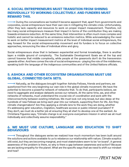#### **4. SOCIAL ENTREPRENEURS MUST TRANSITION FROM SHINING INDIVIDUALLY TO WORKING COLLECTIVELY. AND FUNDERS MUST REWARD THIS.**

 $\rightarrow$  During the conversations we hosted it became apparent that, apart from governments and corporates, social entrepreneurs have their own role in mitigating the climate crisis. Unfortunately, often they lack capacity and resources to work on proper impact measurement. Therefore, not too many social entrepreneurs measure their impact in terms of the contribution they are making towards emissions reduction. At the same time, their intervention is often much more complex and holistic and cannot be reduced to an emissions reduction metrics. While acknowledging the need to work on better impact measurement metrics at the level of individual social entrepreneurs, the way forward for the social entrepreneurship movement and its funders is to focus on collective approaches, renouncing the idea of individual shine and glory.

Social entrepreneurs show that in between experiential and formal knowledge, there is another layer: a middle ground of complexity. The Sustainable Development Goals are at the top and cannot traverse that middle complexity, while people at the grassroots don't do the transversion upwards either. And here comes the role of social entrepreneurs - playing the role of the middlemen, speaking both the language of the indigenous communities and of the United Nations officials.

### **5. ASHOKA AND OTHER ECOSYSTEM ORGANISATIONS MUST USE GLOBAL, CONNECTED DATA SETS.**

 $\rightarrow$  Naturally, as the dialogues brought together Ashoka Fellows, friends and partners, we questioned from the very beginning our own role in the global climate movement. We have the potential to become a powerful network of networks that. To do that, participants believe, we need to aggregate and analyse datasets across our network. At the same time, we, and other networks of networks, must understand the crucial role of coordination and work with the interconnectivity between existing initiatives. We must look not only broad, but also deep: at the hundreds of new Fellows we bring each year into our network, supporting them for life. Are they climate changemakers? Are they applying a climate lens to the work they are doing, whether it's addressing girls' education, migration, healthcare access or public interest journalism? If they don't, we must do a better job at ensuring they all start to develop one at the earliest. As Christiana Figueres says, "Climate change is an everyone-everywhere mission in which we all must individually and collectively assume responsibility."

#### **6. WE MUST USE CULTURE, LANGUAGE AND EDUCATION TO SHIFT BEHAVIOURS**

 $\rightarrow$  Throughout the dialogues series we realized how much momentum has been built around the solutions and actions available to us to rebalance our relationship with nature. Climate sceptics still exist, but they are becoming marginal, and most stakeholders seem to be "on board". A general awareness of the problem is there, so why is there a gap between awareness and action? Because we are lacking empathy for the planet. What are the specific ways that we need to shift our mindset and how?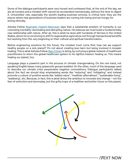Some of the dialogue participants were very honest and confessed that, at the end of the day, we are all humans and a mindset shift cannot be accelerated mechanically, without the time to digest it. Universities' role, especially the world's leading business schools, is critical here: they are the places where new generations of business leaders are coming into being and are hungry for acting ethically.

Ashoka Fellow [Reginaldo Haslett-Marroquín](https://www.forbes.com/sites/ashoka/2020/10/07/we-can-partner-with-nature-to-feed-everybody/?sh=7ab86c7a24e9) says that a substantial problem of humanity is our colonising mentality: dominating and disrupting nature. He believes we must build a fundamentally new relationship with nature. After all, this is what he does with hundreds of farmers in the United States, whom he is convincing to shift to regenerative agriculture not through transactional benefits but working from the very beginning on their cultural and spiritual transformation.

Before engineering solutions for the future, the mindset must come first: how can we support healthy people on a sick planet? It's not about creating less harm but being involved in broader healing. This is what Ashoka Fellow [Gary Cohen](https://www.ashoka.org/en-us/fellow/gary-cohen) is doing, by nurturing a global network of healthcare practitioners to return the global healthcare system to its rightful mission: healing us. This means healing our planet, too.

Language plays a powerful part in the process of climate changemaking. On the one hand, not speaking English keeps many grassroots groups isolated. On the other, much of the language used to describe our climate crisis perpetuates negative connotations. Dialogue participants talked about the fact we should stop emphasising words like "reducing" and "mitigating" and instead promote a culture of positive words like "added value", "healthier alternatives", "sustainable living", "wellbeing", etc. Because, in fact, this is what drives the ambition to innovate and change – not the fear of extinction and doomsday, but the gritty hope of a healthier and better future on this planet.



 $\gamma$ EXT NOW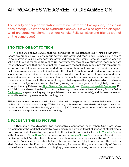The beauty of deep conversation is that no matter the background, consensus does emerge. As we tried to synthetize above. But we also agree to disagree. What are some key elements where Ashoka Fellows, allies and friends are not on the same page?

# **1. TO TECH OR NOT TO TECH**

 $\rightarrow$  In the All-Fellows survey that we conducted to substantiate our "Thinking Differently" report, we probed how Fellows in our network use advanced technology. Surprisingly, close to three quarters of our Fellows don't use advanced tech in their work. Some do, however, and the solutions they opt for range from AI to GIS software. Yet, they all say strategy is more important than technology and that one must not fall in love with the tool. We bumped into this topic further in one of the dialogues, where we ended up debating how to transform our food systems to make sure we rebalance our relationship with the planet. Somehow, food production has become separate from nature, due to the technological revolution. We force nature to produce food for so long and in such a counterintuitive way, that we've reached a point where we're poisoning both the environment and us. In this context it's good that regenerative agriculture, which postulates our return to indigenous and vernacular food growing techniques, gets traction globally, promoted among others by Fellows like [Allan Savory,](https://www.ashoka.org/en-us/fellow/allan-savory) [Durukan Dudu](https://www.ashoka.org/en-us/fellow/durukan-dudu) and [Reginaldo Hasslett Marroquin.](https://www.ashoka.org/en-us/fellow/reginaldo-haslett-marroquin) But artificial food is also on the rise, from vertical farming to meat alternatives (after all, Ashoka Fellow [David Yeung](https://www.ashoka.org/en-us/fellow/david-yeung) is spearheading a global plant-based meat revolution in Asia), and this new revolution in food is enabled by even more technology use.

Still, fellows whose models come in close contact with the global carbon market believe tech won't be the solution for climate change. With voluntary carbon markets worldwide driving up the carbon prices from \$7/ton less than twenty years ago to \$35/ton now, the economics of carbon will drive behavioural change faster than any technology.

# **2. FOCUS VS THE BIG PICTURE**

 $\rightarrow$  Throughout the dialogues two perspectives confronted each other. One from social entrepreneurs who work holistically by developing models which target all ranges of stakeholders, from government officials to young people to the scientific community, like [Beto Verissimo's](https://www.ashoka.org/en-us/fellow/adalberto-verissimo) work in the Amazon or [Sena Alouka's](https://www.ashoka.org/en-us/fellow/sena-alouka) work across Africa or [Gladys Zikusoka's](https://www.ashoka.org/de/fellow/dr-gladys-kalema-zikusoka) work in rural Uganda. Their motivation is that "we start to see traction only when we are solving issues in this way". The other approach - "one sector, one stakeholder" - has proven to be highly impactful for other Fellows. Mark Campanale, the Founder of Carbon Tracker, focuses on the global community of finance professionals for example, instead of lobbying governments or raising consumer awareness.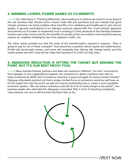#### **3. WINNERS, LOSERS, POWER GAMES VS CO-BENEFITS**

 $\rightarrow$  Our reflections in "Thinking Differently" were leading us to believe we need to move beyond the old narrative that climate action means trade-offs and sacrifices and see instead that good climate solutions can bring multiple other benefits, from wellbeing and healthcare to jobs and air quality. In general, participants in our dialogue sessions agreed with the "multi-solving" approach and pointed out it's easier to implement such a strategy in cities, because at the interface between humans and urban environments, the benefits of climate action are evident: more beautiful spaces, cleaner air, healthier inhabitants, less time wasted in traffic, etc.

Yet, other voices pointed out that the scale of the transformation required is massive. "Who is going to pay for all of these changes?" thus becomes a question about equity and redistribution. Profits will accumulate slower, and some will outwardly lose. Money will change hands, and this means power will shift. How will we make this transition? It is still not fully clear.

#### **4. EMISSIONS REDUCTION IS HITTING THE TARGET BUT MISSING THE POINT. BUT IT'S OUR BEST PROXY TOOL**

 $\rightarrow$  Many Ashoka Fellows, partners and allies are involved in different "net zero" movements, from pledges to turn organisations towards zero emissions to global coalitions who wish to halve emissions by 2030. But is emissions reduction a good surrogate for being climate friendly? Dialogue attendants pointed out that a single-minded focus on emissions reduction will have us hit the target but miss the point: we will not reverse biodiversity loss or create a more equitable economic system. "We can reduce emissions and still do a lot of nasty things to the planet", one business leader who attended the dialogues concluded. Still, in front of daunting complexity, many believe, net zero is still the best Northern Star so far.



 $\gamma$ FXT NOW